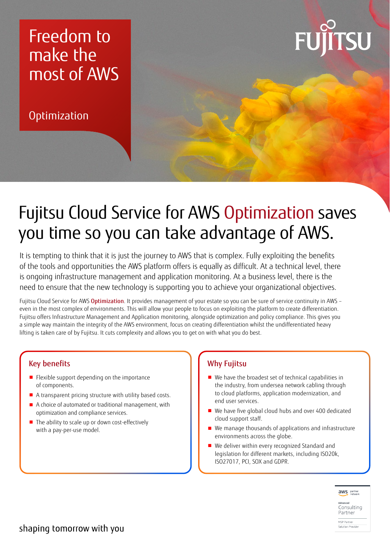### Freedom to make the most of AWS

**Optimization** 



## Fujitsu Cloud Service for AWS Optimization saves you time so you can take advantage of AWS.

It is tempting to think that it is just the journey to AWS that is complex. Fully exploiting the benefits of the tools and opportunities the AWS platform offers is equally as difficult. At a technical level, there is ongoing infrastructure management and application monitoring. At a business level, there is the need to ensure that the new technology is supporting you to achieve your organizational objectives.

Fujitsu Cloud Service for AWS Optimization. It provides management of your estate so you can be sure of service continuity in AWS even in the most complex of environments. This will allow your people to focus on exploiting the platform to create differentiation. Fujitsu offers Infrastructure Management and Application monitoring, alongside optimization and policy compliance. This gives you a simple way maintain the integrity of the AWS environment, focus on creating differentiation whilst the undifferentiated heavy lifting is taken care of by Fujitsu. It cuts complexity and allows you to get on with what you do best.

#### Key benefits

- Flexible support depending on the importance of components.
- A transparent pricing structure with utility based costs.
- A choice of automated or traditional management, with optimization and compliance services.
- The ability to scale up or down cost-effectively with a pay-per-use model.

#### Why Fujitsu

- We have the broadest set of technical capabilities in the industry, from undersea network cabling through to cloud platforms, application modernization, and end user services.
- We have five global cloud hubs and over 400 dedicated cloud support staff.
- We manage thousands of applications and infrastructure environments across the globe.
- We deliver within every recognized Standard and legislation for different markets, including ISO20k, ISO27017, PCI, SOX and GDPR.





MSP Partner Solution Provider